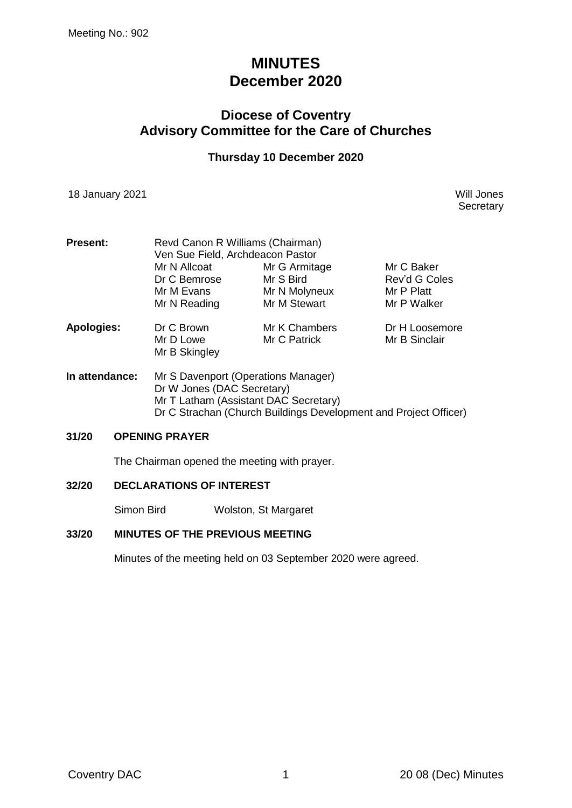# **MINUTES December 2020**

# **Diocese of Coventry Advisory Committee for the Care of Churches**

### **Thursday 10 December 2020**

18 January 2021 Will Jones

**Secretary** 

| <b>Present:</b>   | Revd Canon R Williams (Chairman)<br>Ven Sue Field, Archdeacon Pastor |               |                |  |
|-------------------|----------------------------------------------------------------------|---------------|----------------|--|
|                   | Mr N Allcoat                                                         | Mr G Armitage | Mr C Baker     |  |
|                   | Dr C Bemrose                                                         | Mr S Bird     | Rev'd G Coles  |  |
|                   | Mr M Evans                                                           | Mr N Molyneux | Mr P Platt     |  |
|                   | Mr N Reading                                                         | Mr M Stewart  | Mr P Walker    |  |
| <b>Apologies:</b> | Dr C Brown                                                           | Mr K Chambers | Dr H Loosemore |  |
|                   | Mr D Lowe                                                            | Mr C Patrick  | Mr B Sinclair  |  |
|                   | Mr B Skingley                                                        |               |                |  |
| In attendance:    | Mr S Davenport (Operations Manager)                                  |               |                |  |

Dr W Jones (DAC Secretary) Mr T Latham (Assistant DAC Secretary) Dr C Strachan (Church Buildings Development and Project Officer)

#### **31/20 OPENING PRAYER**

The Chairman opened the meeting with prayer.

#### **32/20 DECLARATIONS OF INTEREST**

Simon Bird Wolston, St Margaret

#### **33/20 MINUTES OF THE PREVIOUS MEETING**

Minutes of the meeting held on 03 September 2020 were agreed.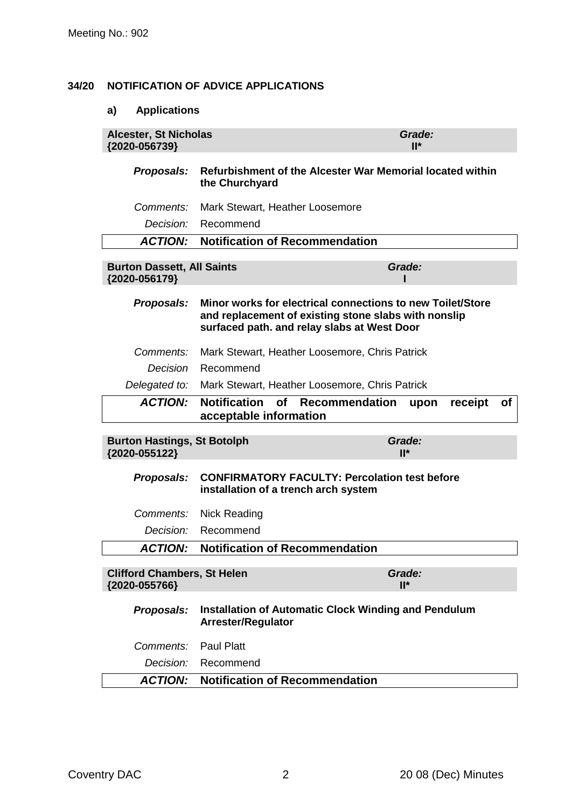#### **34/20 NOTIFICATION OF ADVICE APPLICATIONS**

### **a) Applications**

| <b>Alcester, St Nicholas</b><br>{2020-056739}       | Grade:<br>$II^*$                                                                                                                                                  |                       |  |
|-----------------------------------------------------|-------------------------------------------------------------------------------------------------------------------------------------------------------------------|-----------------------|--|
| Proposals:                                          | Refurbishment of the Alcester War Memorial located within<br>the Churchyard                                                                                       |                       |  |
| Comments:                                           | Mark Stewart, Heather Loosemore                                                                                                                                   |                       |  |
| Decision:                                           | Recommend                                                                                                                                                         |                       |  |
| <b>ACTION:</b>                                      | <b>Notification of Recommendation</b>                                                                                                                             |                       |  |
| <b>Burton Dassett, All Saints</b><br>{2020-056179}  |                                                                                                                                                                   | Grade:                |  |
| Proposals:                                          | Minor works for electrical connections to new Toilet/Store<br>and replacement of existing stone slabs with nonslip<br>surfaced path. and relay slabs at West Door |                       |  |
| Comments:                                           | Mark Stewart, Heather Loosemore, Chris Patrick                                                                                                                    |                       |  |
| Decision                                            | Recommend                                                                                                                                                         |                       |  |
| Delegated to:                                       | Mark Stewart, Heather Loosemore, Chris Patrick                                                                                                                    |                       |  |
| <b>ACTION:</b>                                      | <b>Notification</b><br><b>of</b><br><b>Recommendation</b><br>acceptable information                                                                               | of<br>receipt<br>upon |  |
| <b>Burton Hastings, St Botolph</b><br>{2020-055122} |                                                                                                                                                                   | Grade:<br>$II^*$      |  |
| Proposals:                                          | <b>CONFIRMATORY FACULTY: Percolation test before</b><br>installation of a trench arch system                                                                      |                       |  |
| Comments:                                           | <b>Nick Reading</b>                                                                                                                                               |                       |  |
| <i>Decision:</i>                                    | Recommend                                                                                                                                                         |                       |  |
| <b>ACTION:</b>                                      | <b>Notification of Recommendation</b>                                                                                                                             |                       |  |
| <b>Clifford Chambers, St Helen</b><br>{2020-055766} |                                                                                                                                                                   | Grade:<br>$II^*$      |  |
| Proposals:                                          | <b>Installation of Automatic Clock Winding and Pendulum</b><br><b>Arrester/Regulator</b>                                                                          |                       |  |
| Comments:                                           | <b>Paul Platt</b>                                                                                                                                                 |                       |  |
| Decision:                                           | Recommend                                                                                                                                                         |                       |  |
| <b>ACTION:</b>                                      | <b>Notification of Recommendation</b>                                                                                                                             |                       |  |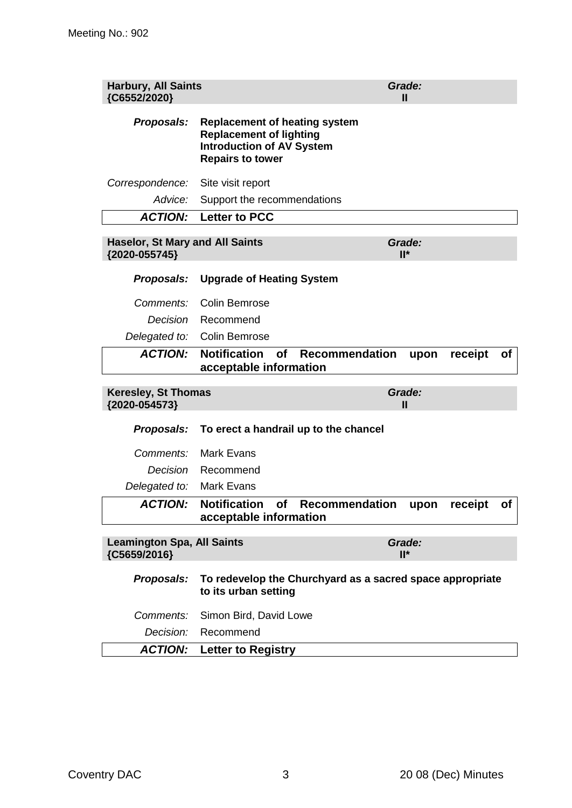| <b>Harbury, All Saints</b><br>{C6552/2020}              |                                                                                                                                       | Grade:<br>Ш                  |
|---------------------------------------------------------|---------------------------------------------------------------------------------------------------------------------------------------|------------------------------|
| Proposals:                                              | <b>Replacement of heating system</b><br><b>Replacement of lighting</b><br><b>Introduction of AV System</b><br><b>Repairs to tower</b> |                              |
| Correspondence:                                         | Site visit report                                                                                                                     |                              |
| Advice:                                                 | Support the recommendations                                                                                                           |                              |
| <b>ACTION:</b>                                          | <b>Letter to PCC</b>                                                                                                                  |                              |
| <b>Haselor, St Mary and All Saints</b><br>{2020-055745} |                                                                                                                                       | Grade:<br>$II^*$             |
| Proposals:                                              | <b>Upgrade of Heating System</b>                                                                                                      |                              |
| Comments:                                               | <b>Colin Bemrose</b>                                                                                                                  |                              |
| Decision                                                | Recommend                                                                                                                             |                              |
| Delegated to:                                           | <b>Colin Bemrose</b>                                                                                                                  |                              |
| <b>ACTION:</b>                                          | <b>Notification</b><br><b>of</b><br><b>Recommendation</b><br>acceptable information                                                   | receipt<br>upon<br><b>of</b> |
|                                                         |                                                                                                                                       |                              |
| <b>Keresley, St Thomas</b><br>{2020-054573}             |                                                                                                                                       | Grade:<br>Ш                  |
| Proposals:                                              | To erect a handrail up to the chancel                                                                                                 |                              |
| Comments:                                               | <b>Mark Evans</b>                                                                                                                     |                              |
| Decision                                                | Recommend                                                                                                                             |                              |
| Delegated to:                                           | <b>Mark Evans</b>                                                                                                                     |                              |
| <b>ACTION:</b>                                          | Notification of Recommendation upon receipt<br>acceptable information                                                                 | of                           |
| <b>Leamington Spa, All Saints</b><br>{C5659/2016}       |                                                                                                                                       | Grade:<br>$II^*$             |
| Proposals:                                              | To redevelop the Churchyard as a sacred space appropriate<br>to its urban setting                                                     |                              |
| Comments:                                               | Simon Bird, David Lowe                                                                                                                |                              |

*ACTION:* **Letter to Registry**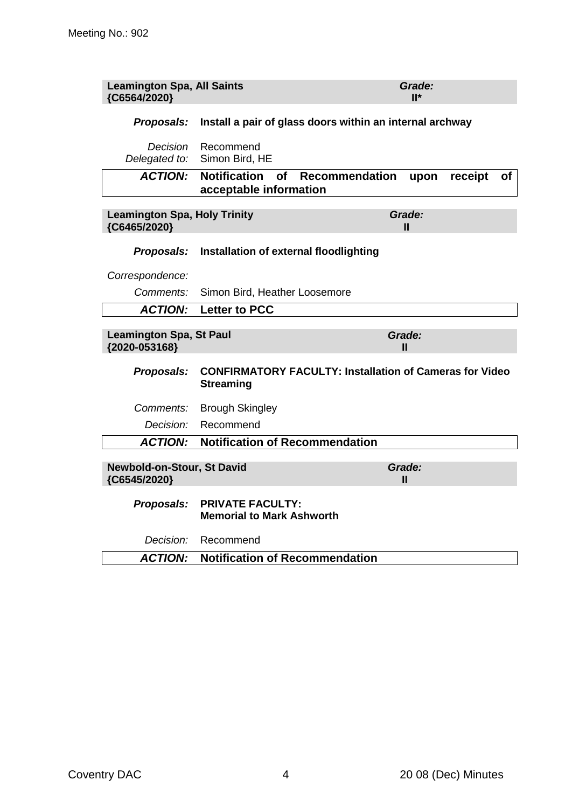| <b>Leamington Spa, All Saints</b><br>{C6564/2020}   |                                                                                    | Grade:<br>$II^*$             |
|-----------------------------------------------------|------------------------------------------------------------------------------------|------------------------------|
| Proposals:                                          | Install a pair of glass doors within an internal archway                           |                              |
| Decision<br>Delegated to:                           | Recommend<br>Simon Bird, HE                                                        |                              |
| <b>ACTION:</b>                                      | <b>Notification</b><br>Recommendation<br>of<br>acceptable information              | receipt<br>upon<br><b>of</b> |
| <b>Leamington Spa, Holy Trinity</b><br>{C6465/2020} |                                                                                    | Grade:<br>Ш                  |
| Proposals:                                          | Installation of external floodlighting                                             |                              |
| Correspondence:                                     |                                                                                    |                              |
| Comments:                                           | Simon Bird, Heather Loosemore                                                      |                              |
| <b>ACTION:</b>                                      | <b>Letter to PCC</b>                                                               |                              |
| <b>Leamington Spa, St Paul</b><br>{2020-053168}     |                                                                                    | Grade:<br>Ш                  |
| Proposals:                                          | <b>CONFIRMATORY FACULTY: Installation of Cameras for Video</b><br><b>Streaming</b> |                              |
| Comments:                                           | <b>Brough Skingley</b>                                                             |                              |
| Decision:                                           | Recommend                                                                          |                              |
| <b>ACTION:</b>                                      | <b>Notification of Recommendation</b>                                              |                              |
| Newbold-on-Stour, St David<br>{C6545/2020}          |                                                                                    | Grade:<br>Ш                  |
|                                                     |                                                                                    |                              |
| Proposals:                                          | <b>PRIVATE FACULTY:</b><br><b>Memorial to Mark Ashworth</b>                        |                              |
| <i>Decision:</i><br><b>ACTION:</b>                  | Recommend<br><b>Notification of Recommendation</b>                                 |                              |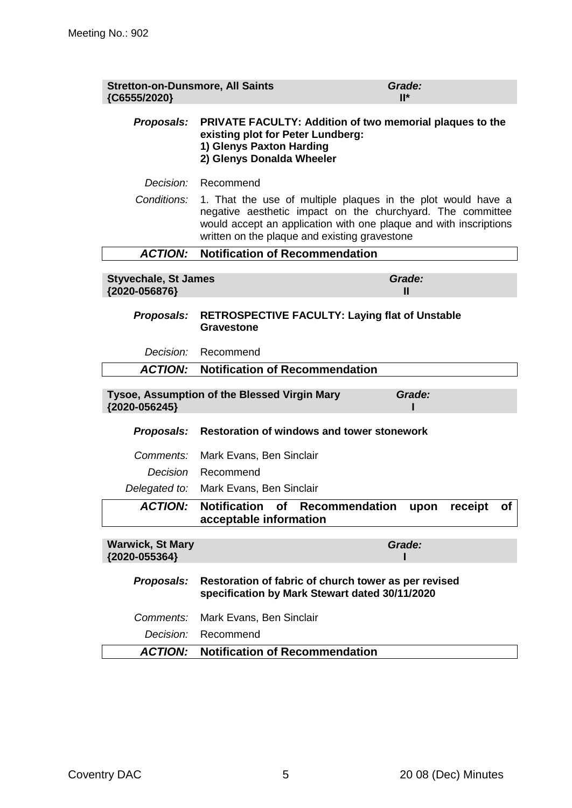| <b>Stretton-on-Dunsmore, All Saints</b><br>{C6555/2020} |                                                                                                                                                                                                                                                  | Grade:<br>$II^*$       |
|---------------------------------------------------------|--------------------------------------------------------------------------------------------------------------------------------------------------------------------------------------------------------------------------------------------------|------------------------|
| Proposals:                                              | <b>PRIVATE FACULTY: Addition of two memorial plaques to the</b><br>existing plot for Peter Lundberg:<br>1) Glenys Paxton Harding<br>2) Glenys Donalda Wheeler                                                                                    |                        |
| Decision:                                               | Recommend                                                                                                                                                                                                                                        |                        |
| Conditions:                                             | 1. That the use of multiple plaques in the plot would have a<br>negative aesthetic impact on the churchyard. The committee<br>would accept an application with one plaque and with inscriptions<br>written on the plaque and existing gravestone |                        |
| <b>ACTION:</b>                                          | <b>Notification of Recommendation</b>                                                                                                                                                                                                            |                        |
| <b>Styvechale, St James</b><br>{2020-056876}            |                                                                                                                                                                                                                                                  | Grade:<br>$\mathbf{H}$ |
| Proposals:                                              | <b>RETROSPECTIVE FACULTY: Laying flat of Unstable</b><br>Gravestone                                                                                                                                                                              |                        |
| Decision:                                               | Recommend                                                                                                                                                                                                                                        |                        |
| <b>ACTION:</b>                                          | <b>Notification of Recommendation</b>                                                                                                                                                                                                            |                        |
| {2020-056245}                                           | Tysoe, Assumption of the Blessed Virgin Mary                                                                                                                                                                                                     | Grade:                 |
| Proposals:                                              | <b>Restoration of windows and tower stonework</b>                                                                                                                                                                                                |                        |
| Comments:                                               | Mark Evans, Ben Sinclair                                                                                                                                                                                                                         |                        |
| Decision                                                | Recommend                                                                                                                                                                                                                                        |                        |
| Delegated to:                                           | Mark Evans, Ben Sinclair                                                                                                                                                                                                                         |                        |
| <b>ACTION:</b>                                          | Notification of Recommendation upon<br>acceptable information                                                                                                                                                                                    | receipt<br>of          |
| <b>Warwick, St Mary</b><br>{2020-055364}                |                                                                                                                                                                                                                                                  | Grade:                 |
| Proposals:                                              | Restoration of fabric of church tower as per revised<br>specification by Mark Stewart dated 30/11/2020                                                                                                                                           |                        |
| Comments:                                               | Mark Evans, Ben Sinclair                                                                                                                                                                                                                         |                        |
| Decision:                                               | Recommend                                                                                                                                                                                                                                        |                        |
| <b>ACTION:</b>                                          | <b>Notification of Recommendation</b>                                                                                                                                                                                                            |                        |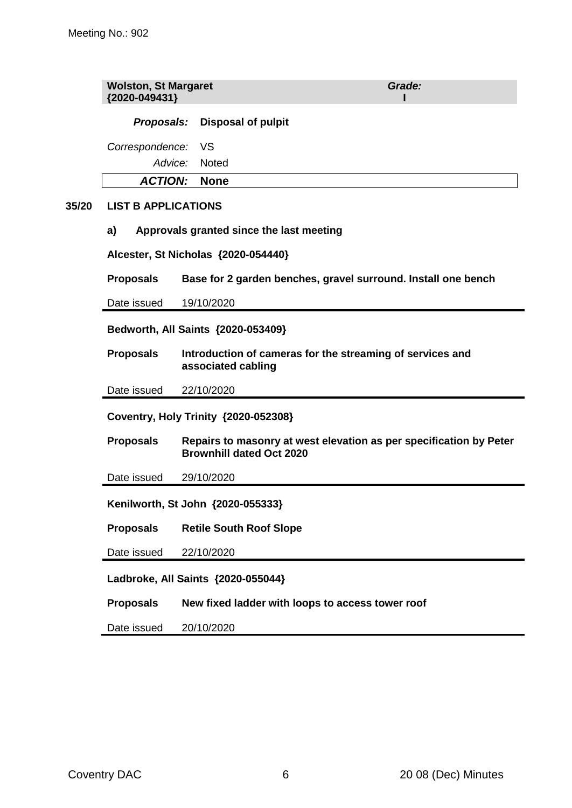|       | <b>Wolston, St Margaret</b><br>{2020-049431}                                                        |                                                  | Grade:                                                             |  |
|-------|-----------------------------------------------------------------------------------------------------|--------------------------------------------------|--------------------------------------------------------------------|--|
|       | Proposals:                                                                                          | <b>Disposal of pulpit</b>                        |                                                                    |  |
|       | Correspondence:                                                                                     | VS                                               |                                                                    |  |
|       | Advice:                                                                                             | <b>Noted</b>                                     |                                                                    |  |
|       | <b>ACTION:</b>                                                                                      | <b>None</b>                                      |                                                                    |  |
| 35/20 | <b>LIST B APPLICATIONS</b>                                                                          |                                                  |                                                                    |  |
|       | a)                                                                                                  | Approvals granted since the last meeting         |                                                                    |  |
|       | Alcester, St Nicholas {2020-054440}                                                                 |                                                  |                                                                    |  |
|       | <b>Proposals</b>                                                                                    |                                                  | Base for 2 garden benches, gravel surround. Install one bench      |  |
|       | Date issued                                                                                         | 19/10/2020                                       |                                                                    |  |
|       | Bedworth, All Saints {2020-053409}                                                                  |                                                  |                                                                    |  |
|       | Introduction of cameras for the streaming of services and<br><b>Proposals</b><br>associated cabling |                                                  |                                                                    |  |
|       | Date issued                                                                                         | 22/10/2020                                       |                                                                    |  |
|       | Coventry, Holy Trinity {2020-052308}                                                                |                                                  |                                                                    |  |
|       | <b>Proposals</b>                                                                                    | <b>Brownhill dated Oct 2020</b>                  | Repairs to masonry at west elevation as per specification by Peter |  |
|       | Date issued                                                                                         | 29/10/2020                                       |                                                                    |  |
|       | Kenilworth, St John {2020-055333}                                                                   |                                                  |                                                                    |  |
|       | <b>Proposals</b>                                                                                    | <b>Retile South Roof Slope</b>                   |                                                                    |  |
|       | Date issued                                                                                         | 22/10/2020                                       |                                                                    |  |
|       | Ladbroke, All Saints {2020-055044}                                                                  |                                                  |                                                                    |  |
|       | <b>Proposals</b>                                                                                    | New fixed ladder with loops to access tower roof |                                                                    |  |
|       | Date issued                                                                                         | 20/10/2020                                       |                                                                    |  |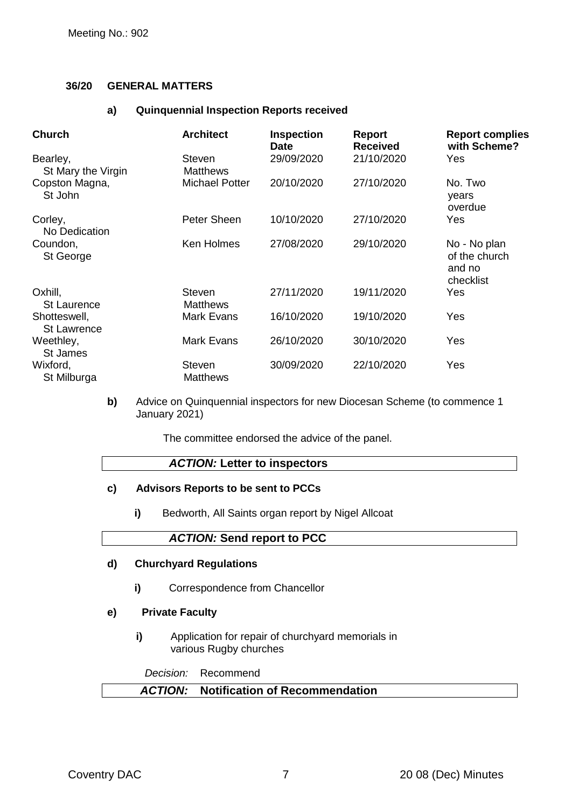#### **36/20 GENERAL MATTERS**

#### **a) Quinquennial Inspection Reports received**

| <b>Church</b>                      | <b>Architect</b>                 | <b>Inspection</b><br><b>Date</b> | <b>Report</b><br><b>Received</b> | <b>Report complies</b><br>with Scheme?               |
|------------------------------------|----------------------------------|----------------------------------|----------------------------------|------------------------------------------------------|
| Bearley,<br>St Mary the Virgin     | <b>Steven</b><br><b>Matthews</b> | 29/09/2020                       | 21/10/2020                       | Yes                                                  |
| Copston Magna,<br>St John          | <b>Michael Potter</b>            | 20/10/2020                       | 27/10/2020                       | No. Two<br>years<br>overdue                          |
| Corley,<br>No Dedication           | Peter Sheen                      | 10/10/2020                       | 27/10/2020                       | Yes                                                  |
| Coundon,<br>St George              | Ken Holmes                       | 27/08/2020                       | 29/10/2020                       | No - No plan<br>of the church<br>and no<br>checklist |
| Oxhill,<br><b>St Laurence</b>      | <b>Steven</b><br><b>Matthews</b> | 27/11/2020                       | 19/11/2020                       | Yes                                                  |
| Shotteswell,<br><b>St Lawrence</b> | <b>Mark Evans</b>                | 16/10/2020                       | 19/10/2020                       | Yes                                                  |
| Weethley,<br>St James              | <b>Mark Evans</b>                | 26/10/2020                       | 30/10/2020                       | Yes                                                  |
| Wixford,<br>St Milburga            | <b>Steven</b><br><b>Matthews</b> | 30/09/2020                       | 22/10/2020                       | Yes                                                  |

**b)** Advice on Quinquennial inspectors for new Diocesan Scheme (to commence 1 January 2021)

The committee endorsed the advice of the panel.

#### *ACTION:* **Letter to inspectors**

#### **c) Advisors Reports to be sent to PCCs**

**i)** Bedworth, All Saints organ report by Nigel Allcoat

#### *ACTION:* **Send report to PCC**

#### **d) Churchyard Regulations**

**i)** Correspondence from Chancellor

#### **e) Private Faculty**

**i)** Application for repair of churchyard memorials in various Rugby churches

*Decision:* Recommend

## *ACTION:* **Notification of Recommendation**